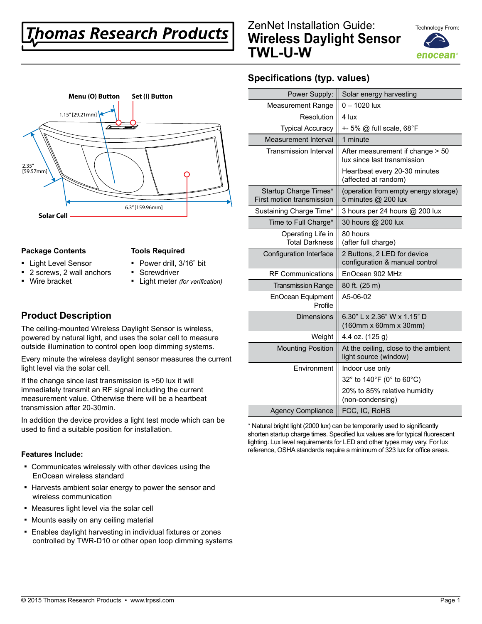# **homas Research Products**





#### **Package Contents**

#### **Tools Required**

- Light Level Sensor
- Power drill, 3/16" bit **•** Screwdriver
- 2 screws, 2 wall anchors ▪ Wire bracket
- Light meter *(for verification)*

### **Product Description**

The ceiling-mounted Wireless Daylight Sensor is wireless, powered by natural light, and uses the solar cell to measure outside illumination to control open loop dimming systems.

Every minute the wireless daylight sensor measures the current light level via the solar cell.

If the change since last transmission is >50 lux it will immediately transmit an RF signal including the current measurement value. Otherwise there will be a heartbeat transmission after 20-30min.

In addition the device provides a light test mode which can be used to find a suitable position for installation.

#### **Features Include:**

- Communicates wirelessly with other devices using the EnOcean wireless standard
- Harvests ambient solar energy to power the sensor and wireless communication
- Measures light level via the solar cell
- **Mounts easily on any ceiling material**
- **Enables daylight harvesting in individual fixtures or zones** controlled by TWR-D10 or other open loop dimming systems

## **Specifications (typ. values)**

| Power Supply:                                      | Solar energy harvesting                                         |
|----------------------------------------------------|-----------------------------------------------------------------|
| <b>Measurement Range</b>                           | $0 - 1020$ lux                                                  |
| Resolution                                         | 4 lux                                                           |
| <b>Typical Accuracy</b>                            | +- 5% @ full scale, 68°F                                        |
| Measurement Interval                               | 1 minute                                                        |
| <b>Transmission Interval</b>                       | After measurement if change > 50<br>lux since last transmission |
|                                                    | Heartbeat every 20-30 minutes<br>(affected at random)           |
| Startup Charge Times*<br>First motion transmission | (operation from empty energy storage)<br>5 minutes @ 200 lux    |
| Sustaining Charge Time*                            | 3 hours per 24 hours @ 200 lux                                  |
| Time to Full Charge*                               | 30 hours @ 200 lux                                              |
| Operating Life in<br><b>Total Darkness</b>         | 80 hours<br>(after full charge)                                 |
| Configuration Interface                            | 2 Buttons, 2 LED for device<br>configuration & manual control   |
| <b>RF Communications</b>                           | EnOcean 902 MHz                                                 |
| <b>Transmission Range</b>                          | 80 ft. (25 m)                                                   |
| EnOcean Equipment<br>Profile                       | A5-06-02                                                        |
| <b>Dimensions</b>                                  | 6.30" L x 2.36" W x 1.15" D<br>(160mm x 60mm x 30mm)            |
| Weight                                             | 4.4 oz. (125 g)                                                 |
| <b>Mounting Position</b>                           | At the ceiling, close to the ambient<br>light source (window)   |
| Environment                                        | Indoor use only                                                 |
|                                                    | 32° to 140°F (0° to 60°C)                                       |
|                                                    | 20% to 85% relative humidity<br>(non-condensing)                |
| <b>Agency Compliance</b>                           | FCC, IC, RoHS                                                   |

\* Natural bright light (2000 lux) can be temporarily used to significantly shorten startup charge times. Specified lux values are for typical fluorescent lighting. Lux level requirements for LED and other types may vary. For lux reference, OSHA standards require a minimum of 323 lux for office areas.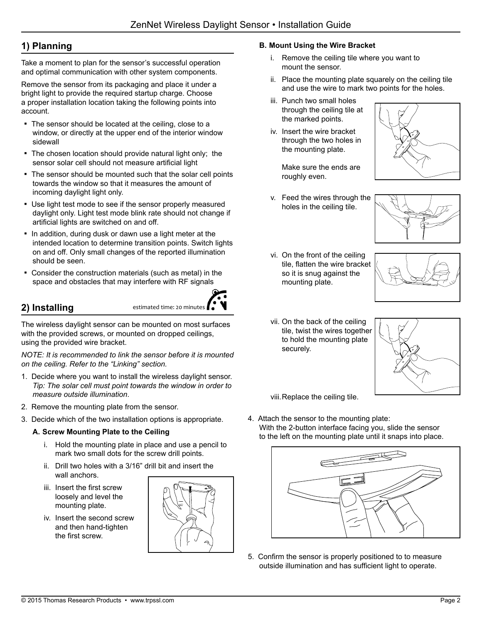# **1) Planning**

Take a moment to plan for the sensor's successful operation and optimal communication with other system components.

Remove the sensor from its packaging and place it under a bright light to provide the required startup charge. Choose a proper installation location taking the following points into account.

- The sensor should be located at the ceiling, close to a window, or directly at the upper end of the interior window sidewall
- The chosen location should provide natural light only; the sensor solar cell should not measure artificial light
- The sensor should be mounted such that the solar cell points towards the window so that it measures the amount of incoming daylight light only.
- **.** Use light test mode to see if the sensor properly measured daylight only. Light test mode blink rate should not change if artificial lights are switched on and off.
- . In addition, during dusk or dawn use a light meter at the intended location to determine transition points. Switch lights on and off. Only small changes of the reported illumination should be seen.
- Consider the construction materials (such as metal) in the space and obstacles that may interfere with RF signals

# **2) Installing**

The wireless daylight sensor can be mounted on most surfaces with the provided screws, or mounted on dropped ceilings, using the provided wire bracket.

estimated time: 20 minutes

*NOTE: It is recommended to link the sensor before it is mounted on the ceiling. Refer to the "Linking" section.*

- 1. Decide where you want to install the wireless daylight sensor. *Tip: The solar cell must point towards the window in order to measure outside illumination*.
- 2. Remove the mounting plate from the sensor.
- 3. Decide which of the two installation options is appropriate.

#### **A. Screw Mounting Plate to the Ceiling**

- i. Hold the mounting plate in place and use a pencil to mark two small dots for the screw drill points.
- ii. Drill two holes with a 3/16" drill bit and insert the wall anchors.
- iii. Insert the first screw loosely and level the mounting plate.
- iv. Insert the second screw and then hand-tighten the first screw.



#### **B. Mount Using the Wire Bracket**

- i. Remove the ceiling tile where you want to mount the sensor.
- ii. Place the mounting plate squarely on the ceiling tile and use the wire to mark two points for the holes.
- iii. Punch two small holes through the ceiling tile at the marked points.
- iv. Insert the wire bracket through the two holes in the mounting plate.

Make sure the ends are roughly even.

v. Feed the wires through the holes in the ceiling tile.





vi. On the front of the ceiling tile, flatten the wire bracket so it is snug against the mounting plate.



vii. On the back of the ceiling tile, twist the wires together to hold the mounting plate securely.



viii.Replace the ceiling tile.

4. Attach the sensor to the mounting plate: With the 2-button interface facing you, slide the sensor to the left on the mounting plate until it snaps into place.



5. Confirm the sensor is properly positioned to to measure outside illumination and has sufficient light to operate.